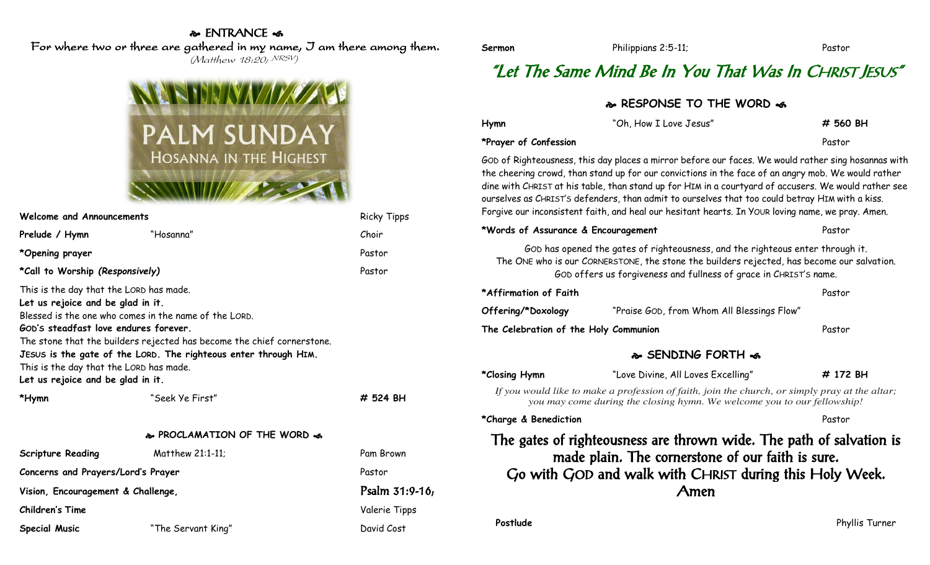### **& ENTRANCE க**

For where two or three are gathered in my name, I am there among them.

(Matthew 18:20; NRSV)



| Welcome and Announcements                                                                                                                                                                             | <b>Ricky Tipps</b>                                                                                                                                                                                 |                 |
|-------------------------------------------------------------------------------------------------------------------------------------------------------------------------------------------------------|----------------------------------------------------------------------------------------------------------------------------------------------------------------------------------------------------|-----------------|
| Prelude / Hymn                                                                                                                                                                                        | "Hosanna"                                                                                                                                                                                          | Choir           |
| *Opening prayer                                                                                                                                                                                       |                                                                                                                                                                                                    | Pastor          |
| *Call to Worship (Responsively)                                                                                                                                                                       | Pastor                                                                                                                                                                                             |                 |
| This is the day that the LORD has made.<br>Let us rejoice and be glad in it.<br>GOD's steadfast love endures forever.<br>This is the day that the LORD has made.<br>Let us rejoice and be glad in it. | Blessed is the one who comes in the name of the LORD.<br>The stone that the builders rejected has become the chief cornerstone.<br>JESUS is the gate of the LORD. The righteous enter through HIM. |                 |
| *Hymn                                                                                                                                                                                                 | "Seek Ye First"                                                                                                                                                                                    | # 524 BH        |
|                                                                                                                                                                                                       | & PROCLAMATION OF THE WORD &                                                                                                                                                                       |                 |
| <b>Scripture Reading</b>                                                                                                                                                                              | Matthew 21:1-11;                                                                                                                                                                                   | Pam Brown       |
| Concerns and Prayers/Lord's Prayer                                                                                                                                                                    |                                                                                                                                                                                                    | Pastor          |
| Vision, Encouragement & Challenge,                                                                                                                                                                    |                                                                                                                                                                                                    | Psalm $31:9-16$ |
| <b>Children's Time</b>                                                                                                                                                                                |                                                                                                                                                                                                    | Valerie Tipps   |
| <b>Special Music</b>                                                                                                                                                                                  | "The Servant King"                                                                                                                                                                                 | David Cost      |

# "Let The Same Mind Be In You That Was In CHRIST JESUS"

**Sermon** Philippians 2:5-11; Pastor

| & RESPONSE TO THE WORD &                                                                                                                                                                                                                          |                                                                                                                                                                                                                                                                                                                                                                                                                                                                                                                           |          |  |  |
|---------------------------------------------------------------------------------------------------------------------------------------------------------------------------------------------------------------------------------------------------|---------------------------------------------------------------------------------------------------------------------------------------------------------------------------------------------------------------------------------------------------------------------------------------------------------------------------------------------------------------------------------------------------------------------------------------------------------------------------------------------------------------------------|----------|--|--|
| Hymn                                                                                                                                                                                                                                              | "Oh, How I Love Jesus"                                                                                                                                                                                                                                                                                                                                                                                                                                                                                                    | # 560 BH |  |  |
| *Prayer of Confession                                                                                                                                                                                                                             |                                                                                                                                                                                                                                                                                                                                                                                                                                                                                                                           | Pastor   |  |  |
|                                                                                                                                                                                                                                                   | GOD of Righteousness, this day places a mirror before our faces. We would rather sing hosannas with<br>the cheering crowd, than stand up for our convictions in the face of an angry mob. We would rather<br>dine with CHRIST at his table, than stand up for HIM in a courtyard of accusers. We would rather see<br>ourselves as CHRIST's defenders, than admit to ourselves that too could betray HIM with a kiss.<br>Forgive our inconsistent faith, and heal our hesitant hearts. In YOUR loving name, we pray. Amen. |          |  |  |
| *Words of Assurance & Encouragement                                                                                                                                                                                                               | Pastor                                                                                                                                                                                                                                                                                                                                                                                                                                                                                                                    |          |  |  |
| GOD has opened the gates of righteousness, and the righteous enter through it.<br>The ONE who is our CORNERSTONE, the stone the builders rejected, has become our salvation.<br>GOD offers us forgiveness and fullness of grace in CHRIST's name. |                                                                                                                                                                                                                                                                                                                                                                                                                                                                                                                           |          |  |  |
| *Affirmation of Faith                                                                                                                                                                                                                             |                                                                                                                                                                                                                                                                                                                                                                                                                                                                                                                           | Pastor   |  |  |
| Offering/*Doxology                                                                                                                                                                                                                                | "Praise GOD, from Whom All Blessings Flow"                                                                                                                                                                                                                                                                                                                                                                                                                                                                                |          |  |  |
| The Celebration of the Holy Communion                                                                                                                                                                                                             |                                                                                                                                                                                                                                                                                                                                                                                                                                                                                                                           | Pastor   |  |  |
| � SENDING FORTH <6                                                                                                                                                                                                                                |                                                                                                                                                                                                                                                                                                                                                                                                                                                                                                                           |          |  |  |
| *Closing Hymn                                                                                                                                                                                                                                     | "Love Divine, All Loves Excelling"                                                                                                                                                                                                                                                                                                                                                                                                                                                                                        | # 172 BH |  |  |
| If you would like to make a profession of faith, join the church, or simply pray at the altar;<br>you may come during the closing hymn. We welcome you to our fellowship!                                                                         |                                                                                                                                                                                                                                                                                                                                                                                                                                                                                                                           |          |  |  |
| *Charge & Benediction                                                                                                                                                                                                                             |                                                                                                                                                                                                                                                                                                                                                                                                                                                                                                                           | Pastor   |  |  |
| The gates of righteousness are thrown wide. The path of salvation is<br>made plain. The cornerstone of our faith is sure.<br>Go with GOD and walk with CHRIST during this Holy Week.<br>Amen                                                      |                                                                                                                                                                                                                                                                                                                                                                                                                                                                                                                           |          |  |  |

**Postlude** Phyllis Turner